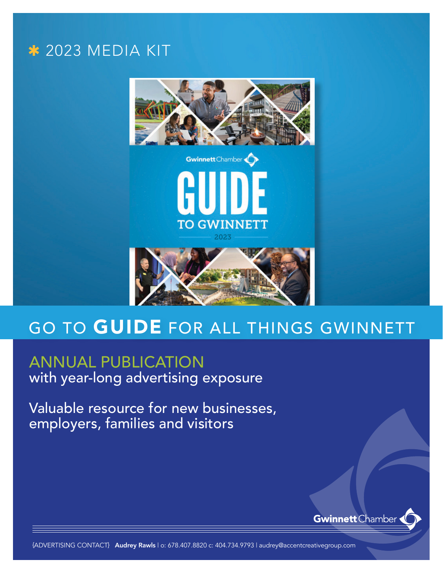### **\* 2023 MEDIA KIT**



### GO TO GUIDE FOR ALL THINGS GWINNETT

### ANNUAL PUBLICATION with year-long advertising exposure

Valuable resource for new businesses, employers, families and visitors



{ADVERTISING CONTACT} Audrey Rawls | o: 678.407.8820 c: 404.734.9793 | audrey@accentcreativegroup.com